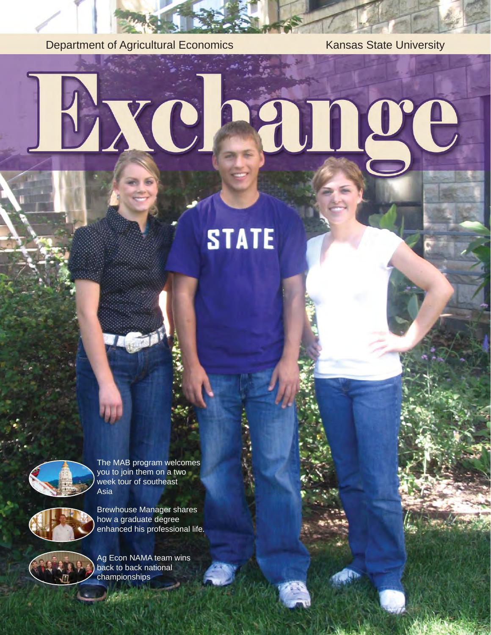Department of Agricultural Economics Kansas State University

# XC ange

# **STATE**



The MAB program welcomes you to join them on a two week tour of southeast Asia



Brewhouse Manager shares how a graduate degree enhanced his professional life.



Ag Econ NAMA team wins back to back national championships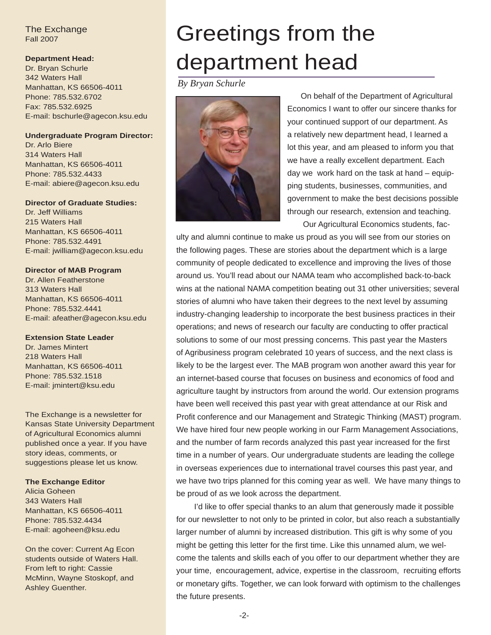#### The Exchange Fall 2007

#### **Department Head:**

Dr. Bryan Schurle 342 Waters Hall Manhattan, KS 66506-4011 Phone: 785.532.6702 Fax: 785.532.6925 E-mail: bschurle@agecon.ksu.edu

#### **Undergraduate Program Director:**

Dr. Arlo Biere 314 Waters Hall Manhattan, KS 66506-4011 Phone: 785.532.4433 E-mail: abiere@agecon.ksu.edu

#### **Director of Graduate Studies:**

Dr. Jeff Williams 215 Waters Hall Manhattan, KS 66506-4011 Phone: 785.532.4491 E-mail: jwilliam@agecon.ksu.edu

#### **Director of MAB Program**

Dr. Allen Featherstone 313 Waters Hall Manhattan, KS 66506-4011 Phone: 785.532.4441 E-mail: afeather@agecon.ksu.edu

#### **Extension State Leader**

Dr. James Mintert 218 Waters Hall Manhattan, KS 66506-4011 Phone: 785.532.1518 E-mail: jmintert@ksu.edu

The Exchange is a newsletter for Kansas State University Department of Agricultural Economics alumni published once a year. If you have story ideas, comments, or suggestions please let us know.

#### **The Exchange Editor**

Alicia Goheen 343 Waters Hall Manhattan, KS 66506-4011 Phone: 785.532.4434 E-mail: agoheen@ksu.edu

On the cover: Current Ag Econ students outside of Waters Hall. From left to right: Cassie McMinn, Wayne Stoskopf, and Ashley Guenther.

### Greetings from the department head

*By Bryan Schurle*



 On behalf of the Department of Agricultural Economics I want to offer our sincere thanks for your continued support of our department. As a relatively new department head, I learned a lot this year, and am pleased to inform you that we have a really excellent department. Each day we work hard on the task at hand – equipping students, businesses, communities, and government to make the best decisions possible through our research, extension and teaching. Our Agricultural Economics students, fac-

ulty and alumni continue to make us proud as you will see from our stories on the following pages. These are stories about the department which is a large community of people dedicated to excellence and improving the lives of those around us. You'll read about our NAMA team who accomplished back-to-back wins at the national NAMA competition beating out 31 other universities; several stories of alumni who have taken their degrees to the next level by assuming industry-changing leadership to incorporate the best business practices in their operations; and news of research our faculty are conducting to offer practical solutions to some of our most pressing concerns. This past year the Masters of Agribusiness program celebrated 10 years of success, and the next class is likely to be the largest ever. The MAB program won another award this year for an internet-based course that focuses on business and economics of food and agriculture taught by instructors from around the world. Our extension programs have been well received this past year with great attendance at our Risk and Profit conference and our Management and Strategic Thinking (MAST) program. We have hired four new people working in our Farm Management Associations, and the number of farm records analyzed this past year increased for the first time in a number of years. Our undergraduate students are leading the college in overseas experiences due to international travel courses this past year, and we have two trips planned for this coming year as well. We have many things to be proud of as we look across the department.

 I'd like to offer special thanks to an alum that generously made it possible for our newsletter to not only to be printed in color, but also reach a substantially larger number of alumni by increased distribution. This gift is why some of you might be getting this letter for the first time. Like this unnamed alum, we welcome the talents and skills each of you offer to our department whether they are your time, encouragement, advice, expertise in the classroom, recruiting efforts or monetary gifts. Together, we can look forward with optimism to the challenges the future presents.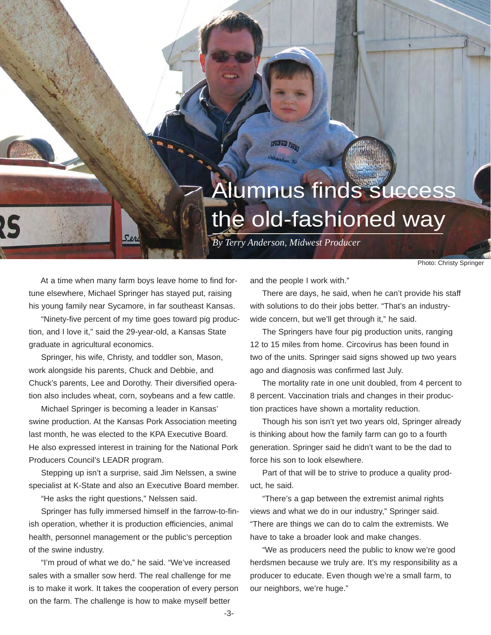### **Alumnus finds success** the old-fashioned way

*By Terry Anderson, Midwest Producer*

SPRINGER PARKS

Photo: Christy Springer

 At a time when many farm boys leave home to find fortune elsewhere, Michael Springer has stayed put, raising his young family near Sycamore, in far southeast Kansas.

 "Ninety-five percent of my time goes toward pig production, and I love it," said the 29-year-old, a Kansas State graduate in agricultural economics.

 Springer, his wife, Christy, and toddler son, Mason, work alongside his parents, Chuck and Debbie, and Chuck's parents, Lee and Dorothy. Their diversified operation also includes wheat, corn, soybeans and a few cattle.

 Michael Springer is becoming a leader in Kansas' swine production. At the Kansas Pork Association meeting last month, he was elected to the KPA Executive Board. He also expressed interest in training for the National Pork Producers Council's LEADR program.

 Stepping up isn't a surprise, said Jim Nelssen, a swine specialist at K-State and also an Executive Board member.

"He asks the right questions," Nelssen said.

 Springer has fully immersed himself in the farrow-to-finish operation, whether it is production efficiencies, animal health, personnel management or the public's perception of the swine industry.

 "I'm proud of what we do," he said. "We've increased sales with a smaller sow herd. The real challenge for me is to make it work. It takes the cooperation of every person on the farm. The challenge is how to make myself better

and the people I work with."

 There are days, he said, when he can't provide his staff with solutions to do their jobs better. "That's an industrywide concern, but we'll get through it," he said.

 The Springers have four pig production units, ranging 12 to 15 miles from home. Circovirus has been found in two of the units. Springer said signs showed up two years ago and diagnosis was confirmed last July.

 The mortality rate in one unit doubled, from 4 percent to 8 percent. Vaccination trials and changes in their production practices have shown a mortality reduction.

 Though his son isn't yet two years old, Springer already is thinking about how the family farm can go to a fourth generation. Springer said he didn't want to be the dad to force his son to look elsewhere.

 Part of that will be to strive to produce a quality product, he said.

 "There's a gap between the extremist animal rights views and what we do in our industry," Springer said. "There are things we can do to calm the extremists. We have to take a broader look and make changes.

 "We as producers need the public to know we're good herdsmen because we truly are. It's my responsibility as a producer to educate. Even though we're a small farm, to our neighbors, we're huge."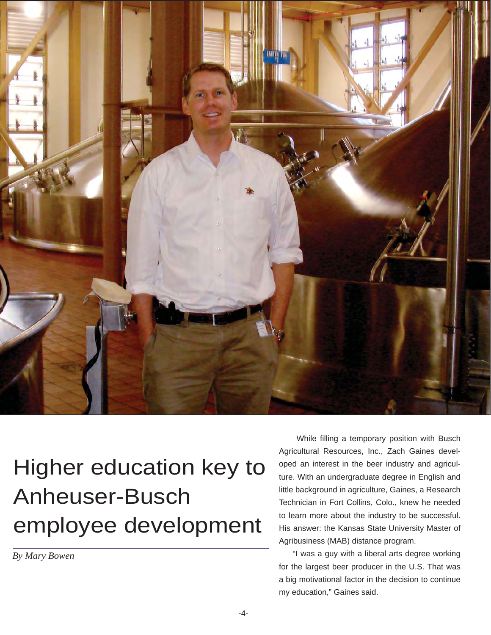

# Higher education key to Anheuser-Busch employee development

*By Mary Bowen*

 While filling a temporary position with Busch Agricultural Resources, Inc., Zach Gaines developed an interest in the beer industry and agriculture. With an undergraduate degree in English and little background in agriculture, Gaines, a Research Technician in Fort Collins, Colo., knew he needed to learn more about the industry to be successful. His answer: the Kansas State University Master of Agribusiness (MAB) distance program.

 "I was a guy with a liberal arts degree working for the largest beer producer in the U.S. That was a big motivational factor in the decision to continue my education," Gaines said.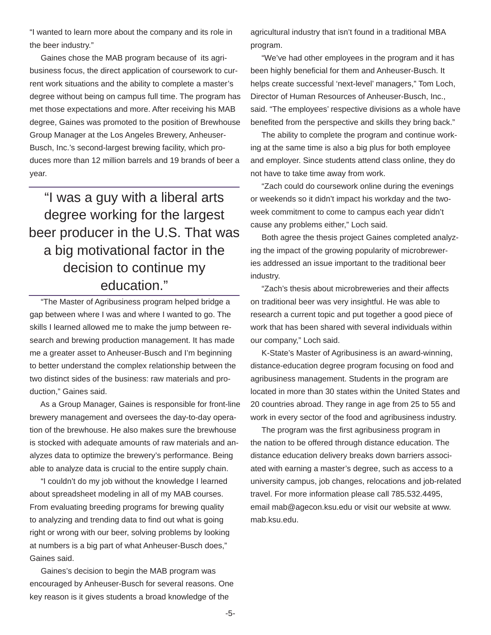"I wanted to learn more about the company and its role in the beer industry."

 Gaines chose the MAB program because of its agribusiness focus, the direct application of coursework to current work situations and the ability to complete a master's degree without being on campus full time. The program has met those expectations and more. After receiving his MAB degree, Gaines was promoted to the position of Brewhouse Group Manager at the Los Angeles Brewery, Anheuser-Busch, Inc.'s second-largest brewing facility, which produces more than 12 million barrels and 19 brands of beer a year.

"I was a guy with a liberal arts degree working for the largest beer producer in the U.S. That was a big motivational factor in the decision to continue my education."

 "The Master of Agribusiness program helped bridge a gap between where I was and where I wanted to go. The skills I learned allowed me to make the jump between research and brewing production management. It has made me a greater asset to Anheuser-Busch and I'm beginning to better understand the complex relationship between the two distinct sides of the business: raw materials and production," Gaines said.

 As a Group Manager, Gaines is responsible for front-line brewery management and oversees the day-to-day operation of the brewhouse. He also makes sure the brewhouse is stocked with adequate amounts of raw materials and analyzes data to optimize the brewery's performance. Being able to analyze data is crucial to the entire supply chain.

 "I couldn't do my job without the knowledge I learned about spreadsheet modeling in all of my MAB courses. From evaluating breeding programs for brewing quality to analyzing and trending data to find out what is going right or wrong with our beer, solving problems by looking at numbers is a big part of what Anheuser-Busch does," Gaines said.

 Gaines's decision to begin the MAB program was encouraged by Anheuser-Busch for several reasons. One key reason is it gives students a broad knowledge of the

agricultural industry that isn't found in a traditional MBA program.

 "We've had other employees in the program and it has been highly beneficial for them and Anheuser-Busch. It helps create successful 'next-level' managers," Tom Loch, Director of Human Resources of Anheuser-Busch, Inc., said. "The employees' respective divisions as a whole have benefited from the perspective and skills they bring back."

 The ability to complete the program and continue working at the same time is also a big plus for both employee and employer. Since students attend class online, they do not have to take time away from work.

 "Zach could do coursework online during the evenings or weekends so it didn't impact his workday and the twoweek commitment to come to campus each year didn't cause any problems either," Loch said.

 Both agree the thesis project Gaines completed analyzing the impact of the growing popularity of microbreweries addressed an issue important to the traditional beer industry.

 "Zach's thesis about microbreweries and their affects on traditional beer was very insightful. He was able to research a current topic and put together a good piece of work that has been shared with several individuals within our company," Loch said.

 K-State's Master of Agribusiness is an award-winning, distance-education degree program focusing on food and agribusiness management. Students in the program are located in more than 30 states within the United States and 20 countries abroad. They range in age from 25 to 55 and work in every sector of the food and agribusiness industry.

 The program was the first agribusiness program in the nation to be offered through distance education. The distance education delivery breaks down barriers associated with earning a master's degree, such as access to a university campus, job changes, relocations and job-related travel. For more information please call 785.532.4495, email mab@agecon.ksu.edu or visit our website at www. mab.ksu.edu.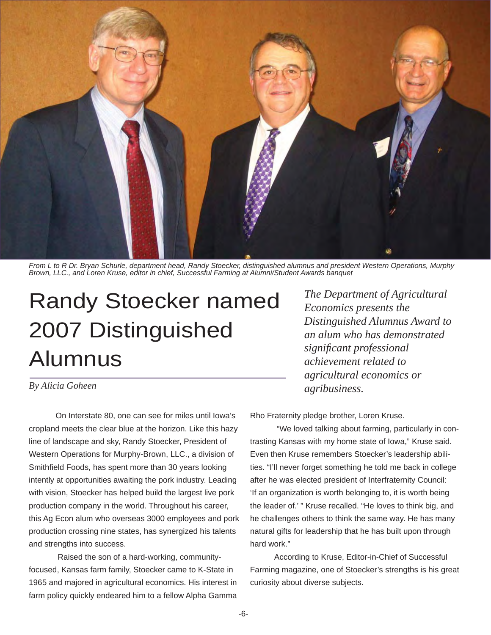

*From L to R Dr. Bryan Schurle, department head, Randy Stoecker, distinguished alumnus and president Western Operations, Murphy Brown, LLC., and Loren Kruse, editor in chief, Successful Farming at Alumni/Student Awards banquet*

# Randy Stoecker named 2007 Distinguished Alumnus

#### *By Alicia Goheen*

 On Interstate 80, one can see for miles until Iowa's cropland meets the clear blue at the horizon. Like this hazy line of landscape and sky, Randy Stoecker, President of Western Operations for Murphy-Brown, LLC., a division of Smithfield Foods, has spent more than 30 years looking intently at opportunities awaiting the pork industry. Leading with vision, Stoecker has helped build the largest live pork production company in the world. Throughout his career, this Ag Econ alum who overseas 3000 employees and pork production crossing nine states, has synergized his talents and strengths into success.

 Raised the son of a hard-working, communityfocused, Kansas farm family, Stoecker came to K-State in 1965 and majored in agricultural economics. His interest in farm policy quickly endeared him to a fellow Alpha Gamma

*The Department of Agricultural Economics presents the Distinguished Alumnus Award to an alum who has demonstrated signifi cant professional achievement related to agricultural economics or agribusiness.*

Rho Fraternity pledge brother, Loren Kruse.

 "We loved talking about farming, particularly in contrasting Kansas with my home state of Iowa," Kruse said. Even then Kruse remembers Stoecker's leadership abilities. "I'll never forget something he told me back in college after he was elected president of Interfraternity Council: 'If an organization is worth belonging to, it is worth being the leader of.' " Kruse recalled. "He loves to think big, and he challenges others to think the same way. He has many natural gifts for leadership that he has built upon through hard work."

 According to Kruse, Editor-in-Chief of Successful Farming magazine, one of Stoecker's strengths is his great curiosity about diverse subjects.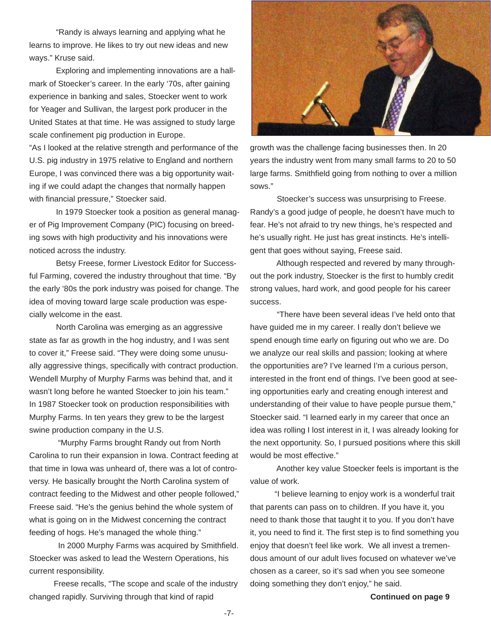"Randy is always learning and applying what he learns to improve. He likes to try out new ideas and new ways." Kruse said.

 Exploring and implementing innovations are a hallmark of Stoecker's career. In the early '70s, after gaining experience in banking and sales, Stoecker went to work for Yeager and Sullivan, the largest pork producer in the United States at that time. He was assigned to study large scale confinement pig production in Europe.

"As I looked at the relative strength and performance of the U.S. pig industry in 1975 relative to England and northern Europe, I was convinced there was a big opportunity waiting if we could adapt the changes that normally happen with financial pressure," Stoecker said.

 In 1979 Stoecker took a position as general manager of Pig Improvement Company (PIC) focusing on breeding sows with high productivity and his innovations were noticed across the industry.

 Betsy Freese, former Livestock Editor for Successful Farming, covered the industry throughout that time. "By the early '80s the pork industry was poised for change. The idea of moving toward large scale production was especially welcome in the east.

 North Carolina was emerging as an aggressive state as far as growth in the hog industry, and I was sent to cover it," Freese said. "They were doing some unusually aggressive things, specifically with contract production. Wendell Murphy of Murphy Farms was behind that, and it wasn't long before he wanted Stoecker to join his team." In 1987 Stoecker took on production responsibilities with Murphy Farms. In ten years they grew to be the largest swine production company in the U.S.

 "Murphy Farms brought Randy out from North Carolina to run their expansion in Iowa. Contract feeding at that time in Iowa was unheard of, there was a lot of controversy. He basically brought the North Carolina system of contract feeding to the Midwest and other people followed," Freese said. "He's the genius behind the whole system of what is going on in the Midwest concerning the contract feeding of hogs. He's managed the whole thing."

 In 2000 Murphy Farms was acquired by Smithfield. Stoecker was asked to lead the Western Operations, his current responsibility.

 Freese recalls, "The scope and scale of the industry changed rapidly. Surviving through that kind of rapid



growth was the challenge facing businesses then. In 20 years the industry went from many small farms to 20 to 50 large farms. Smithfield going from nothing to over a million sows."

 Stoecker's success was unsurprising to Freese. Randy's a good judge of people, he doesn't have much to fear. He's not afraid to try new things, he's respected and he's usually right. He just has great instincts. He's intelligent that goes without saying, Freese said.

 Although respected and revered by many throughout the pork industry, Stoecker is the first to humbly credit strong values, hard work, and good people for his career success.

 "There have been several ideas I've held onto that have guided me in my career. I really don't believe we spend enough time early on figuring out who we are. Do we analyze our real skills and passion; looking at where the opportunities are? I've learned I'm a curious person, interested in the front end of things. I've been good at seeing opportunities early and creating enough interest and understanding of their value to have people pursue them," Stoecker said. "I learned early in my career that once an idea was rolling I lost interest in it, I was already looking for the next opportunity. So, I pursued positions where this skill would be most effective."

 Another key value Stoecker feels is important is the value of work.

 "I believe learning to enjoy work is a wonderful trait that parents can pass on to children. If you have it, you need to thank those that taught it to you. If you don't have it, you need to find it. The first step is to find something you enjoy that doesn't feel like work. We all invest a tremendous amount of our adult lives focused on whatever we've chosen as a career, so it's sad when you see someone doing something they don't enjoy," he said.

**Continued on page 9**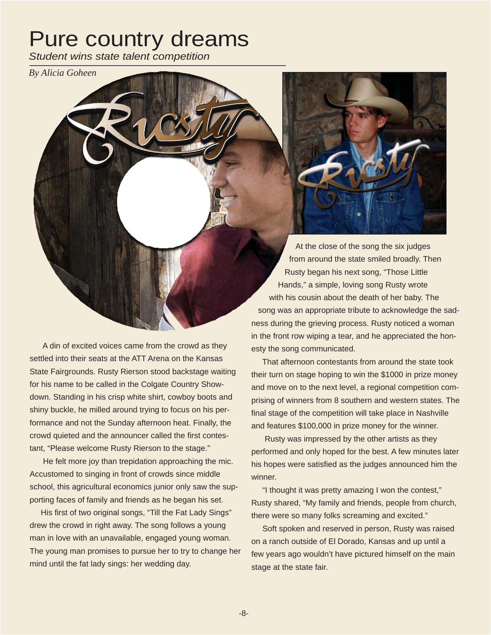### Pure country dreams

*Student wins state talent competition*

*By Alicia Goheen*

 At the close of the song the six judges from around the state smiled broadly. Then

 Rusty began his next song, "Those Little Hands," a simple, loving song Rusty wrote with his cousin about the death of her baby. The song was an appropriate tribute to acknowledge the sadness during the grieving process. Rusty noticed a woman in the front row wiping a tear, and he appreciated the honesty the song communicated.

 That afternoon contestants from around the state took their turn on stage hoping to win the \$1000 in prize money and move on to the next level, a regional competition comprising of winners from 8 southern and western states. The final stage of the competition will take place in Nashville and features \$100,000 in prize money for the winner.

 Rusty was impressed by the other artists as they performed and only hoped for the best. A few minutes later his hopes were satisfied as the judges announced him the winner.

 "I thought it was pretty amazing I won the contest," Rusty shared, "My family and friends, people from church, there were so many folks screaming and excited."

 Soft spoken and reserved in person, Rusty was raised on a ranch outside of El Dorado, Kansas and up until a few years ago wouldn't have pictured himself on the main stage at the state fair.

 A din of excited voices came from the crowd as they settled into their seats at the ATT Arena on the Kansas State Fairgrounds. Rusty Rierson stood backstage waiting for his name to be called in the Colgate Country Showdown. Standing in his crisp white shirt, cowboy boots and shiny buckle, he milled around trying to focus on his performance and not the Sunday afternoon heat. Finally, the crowd quieted and the announcer called the first contestant, "Please welcome Rusty Rierson to the stage."

 He felt more joy than trepidation approaching the mic. Accustomed to singing in front of crowds since middle school, this agricultural economics junior only saw the supporting faces of family and friends as he began his set.

 His first of two original songs, "Till the Fat Lady Sings" drew the crowd in right away. The song follows a young man in love with an unavailable, engaged young woman. The young man promises to pursue her to try to change her mind until the fat lady sings: her wedding day.

-8-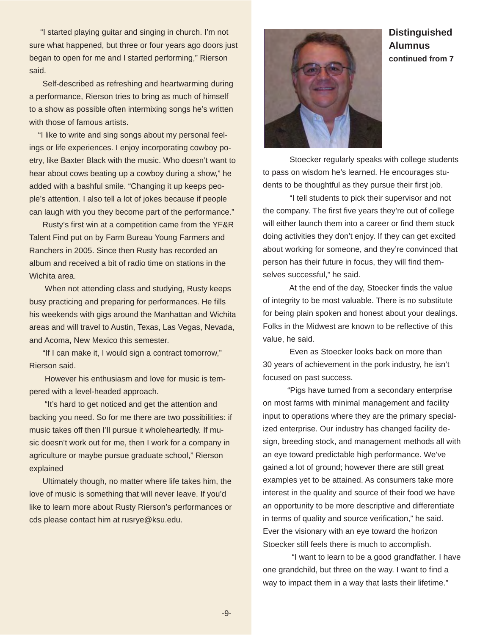"I started playing guitar and singing in church. I'm not sure what happened, but three or four years ago doors just began to open for me and I started performing," Rierson said.

 Self-described as refreshing and heartwarming during a performance, Rierson tries to bring as much of himself to a show as possible often intermixing songs he's written with those of famous artists.

 "I like to write and sing songs about my personal feelings or life experiences. I enjoy incorporating cowboy poetry, like Baxter Black with the music. Who doesn't want to hear about cows beating up a cowboy during a show," he added with a bashful smile. "Changing it up keeps people's attention. I also tell a lot of jokes because if people can laugh with you they become part of the performance."

 Rusty's first win at a competition came from the YF&R Talent Find put on by Farm Bureau Young Farmers and Ranchers in 2005. Since then Rusty has recorded an album and received a bit of radio time on stations in the Wichita area.

 When not attending class and studying, Rusty keeps busy practicing and preparing for performances. He fills his weekends with gigs around the Manhattan and Wichita areas and will travel to Austin, Texas, Las Vegas, Nevada, and Acoma, New Mexico this semester.

 "If I can make it, I would sign a contract tomorrow," Rierson said.

 However his enthusiasm and love for music is tempered with a level-headed approach.

 "It's hard to get noticed and get the attention and backing you need. So for me there are two possibilities: if music takes off then I'll pursue it wholeheartedly. If music doesn't work out for me, then I work for a company in agriculture or maybe pursue graduate school," Rierson explained

 Ultimately though, no matter where life takes him, the love of music is something that will never leave. If you'd like to learn more about Rusty Rierson's performances or cds please contact him at rusrye@ksu.edu.



 Stoecker regularly speaks with college students to pass on wisdom he's learned. He encourages students to be thoughtful as they pursue their first job.

 "I tell students to pick their supervisor and not the company. The first five years they're out of college will either launch them into a career or find them stuck doing activities they don't enjoy. If they can get excited about working for someone, and they're convinced that person has their future in focus, they will find themselves successful," he said.

 At the end of the day, Stoecker finds the value of integrity to be most valuable. There is no substitute for being plain spoken and honest about your dealings. Folks in the Midwest are known to be reflective of this value, he said.

 Even as Stoecker looks back on more than 30 years of achievement in the pork industry, he isn't focused on past success.

 "Pigs have turned from a secondary enterprise on most farms with minimal management and facility input to operations where they are the primary specialized enterprise. Our industry has changed facility design, breeding stock, and management methods all with an eye toward predictable high performance. We've gained a lot of ground; however there are still great examples yet to be attained. As consumers take more interest in the quality and source of their food we have an opportunity to be more descriptive and differentiate in terms of quality and source verification," he said. Ever the visionary with an eye toward the horizon Stoecker still feels there is much to accomplish.

 "I want to learn to be a good grandfather. I have one grandchild, but three on the way. I want to find a way to impact them in a way that lasts their lifetime."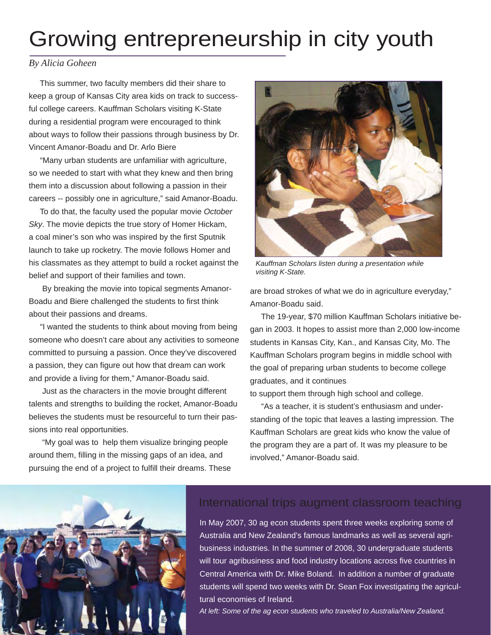## Growing entrepreneurship in city youth

#### *By Alicia Goheen*

 This summer, two faculty members did their share to keep a group of Kansas City area kids on track to successful college careers. Kauffman Scholars visiting K-State during a residential program were encouraged to think about ways to follow their passions through business by Dr. Vincent Amanor-Boadu and Dr. Arlo Biere

 "Many urban students are unfamiliar with agriculture, so we needed to start with what they knew and then bring them into a discussion about following a passion in their careers -- possibly one in agriculture," said Amanor-Boadu.

 To do that, the faculty used the popular movie *October Sky*. The movie depicts the true story of Homer Hickam, a coal miner's son who was inspired by the first Sputnik launch to take up rocketry. The movie follows Homer and his classmates as they attempt to build a rocket against the belief and support of their families and town.

 By breaking the movie into topical segments Amanor-Boadu and Biere challenged the students to first think about their passions and dreams.

 "I wanted the students to think about moving from being someone who doesn't care about any activities to someone committed to pursuing a passion. Once they've discovered a passion, they can figure out how that dream can work and provide a living for them," Amanor-Boadu said.

 Just as the characters in the movie brought different talents and strengths to building the rocket, Amanor-Boadu believes the students must be resourceful to turn their passions into real opportunities.

 "My goal was to help them visualize bringing people around them, filling in the missing gaps of an idea, and pursuing the end of a project to fulfill their dreams. These



*Kauffman Scholars listen during a presentation while visiting K-State.*

are broad strokes of what we do in agriculture everyday," Amanor-Boadu said.

 The 19-year, \$70 million Kauffman Scholars initiative began in 2003. It hopes to assist more than 2,000 low-income students in Kansas City, Kan., and Kansas City, Mo. The Kauffman Scholars program begins in middle school with the goal of preparing urban students to become college graduates, and it continues

to support them through high school and college.

 "As a teacher, it is student's enthusiasm and understanding of the topic that leaves a lasting impression. The Kauffman Scholars are great kids who know the value of the program they are a part of. It was my pleasure to be involved," Amanor-Boadu said.



### International trips augment classroom teaching

In May 2007, 30 ag econ students spent three weeks exploring some of Australia and New Zealand's famous landmarks as well as several agribusiness industries. In the summer of 2008, 30 undergraduate students will tour agribusiness and food industry locations across five countries in Central America with Dr. Mike Boland. In addition a number of graduate students will spend two weeks with Dr. Sean Fox investigating the agricultural economies of Ireland.

*At left: Some of the ag econ students who traveled to Australia/New Zealand.*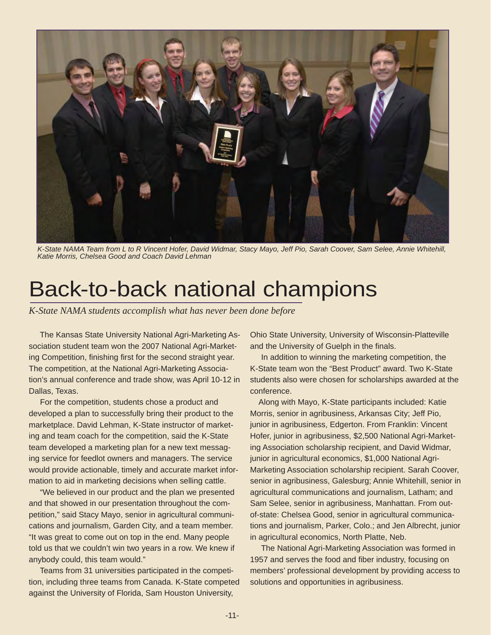

*K-State NAMA Team from L to R Vincent Hofer, David Widmar, Stacy Mayo, Jeff Pio, Sarah Coover, Sam Selee, Annie Whitehill, Katie Morris, Chelsea Good and Coach David Lehman*

### Back-to-back national champions

*K-State NAMA students accomplish what has never been done before*

 The Kansas State University National Agri-Marketing Association student team won the 2007 National Agri-Marketing Competition, finishing first for the second straight year. The competition, at the National Agri-Marketing Association's annual conference and trade show, was April 10-12 in Dallas, Texas.

 For the competition, students chose a product and developed a plan to successfully bring their product to the marketplace. David Lehman, K-State instructor of marketing and team coach for the competition, said the K-State team developed a marketing plan for a new text messaging service for feedlot owners and managers. The service would provide actionable, timely and accurate market information to aid in marketing decisions when selling cattle.

 "We believed in our product and the plan we presented and that showed in our presentation throughout the competition," said Stacy Mayo, senior in agricultural communications and journalism, Garden City, and a team member. "It was great to come out on top in the end. Many people told us that we couldn't win two years in a row. We knew if anybody could, this team would."

 Teams from 31 universities participated in the competition, including three teams from Canada. K-State competed against the University of Florida, Sam Houston University,

Ohio State University, University of Wisconsin-Platteville and the University of Guelph in the finals.

 In addition to winning the marketing competition, the K-State team won the "Best Product" award. Two K-State students also were chosen for scholarships awarded at the conference.

 Along with Mayo, K-State participants included: Katie Morris, senior in agribusiness, Arkansas City; Jeff Pio, junior in agribusiness, Edgerton. From Franklin: Vincent Hofer, junior in agribusiness, \$2,500 National Agri-Marketing Association scholarship recipient, and David Widmar, junior in agricultural economics, \$1,000 National Agri-Marketing Association scholarship recipient. Sarah Coover, senior in agribusiness, Galesburg; Annie Whitehill, senior in agricultural communications and journalism, Latham; and Sam Selee, senior in agribusiness, Manhattan. From outof-state: Chelsea Good, senior in agricultural communications and journalism, Parker, Colo.; and Jen Albrecht, junior in agricultural economics, North Platte, Neb.

 The National Agri-Marketing Association was formed in 1957 and serves the food and fiber industry, focusing on members' professional development by providing access to solutions and opportunities in agribusiness.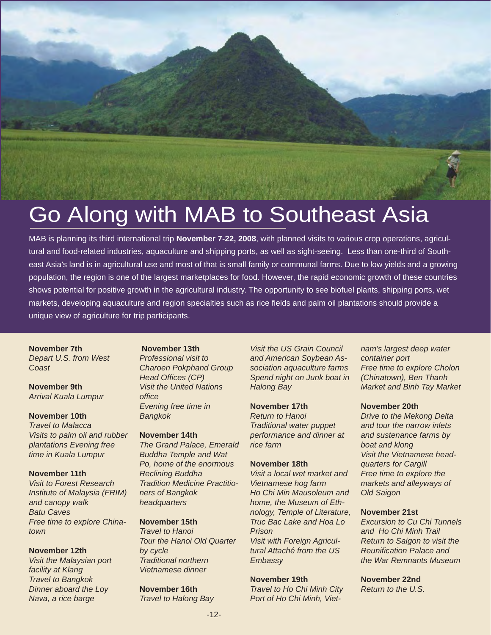# Go Along with MAB to Southeast Asia

MAB is planning its third international trip **November 7-22, 2008**, with planned visits to various crop operations, agricultural and food-related industries, aquaculture and shipping ports, as well as sight-seeing. Less than one-third of Southeast Asia's land is in agricultural use and most of that is small family or communal farms. Due to low yields and a growing population, the region is one of the largest marketplaces for food. However, the rapid economic growth of these countries shows potential for positive growth in the agricultural industry. The opportunity to see biofuel plants, shipping ports, wet markets, developing aquaculture and region specialties such as rice fields and palm oil plantations should provide a unique view of agriculture for trip participants.

#### **November 7th**

*Depart U.S. from West Coast*

#### **November 9th** *Arrival Kuala Lumpur*

#### **November 10th**

*Travel to Malacca Visits to palm oil and rubber plantations Evening free time in Kuala Lumpur*

#### **November 11th**

*Visit to Forest Research Institute of Malaysia (FRIM) and canopy walk Batu Caves Free time to explore Chinatown*

#### **November 12th**

*Visit the Malaysian port facility at Klang Travel to Bangkok Dinner aboard the Loy Nava, a rice barge*

#### **November 13th**

*Professional visit to Charoen Pokphand Group Head Offices (CP) Visit the United Nations office Evening free time in Bangkok*

#### **November 14th**

*The Grand Palace, Emerald Buddha Temple and Wat Po, home of the enormous Reclining Buddha Tradition Medicine Practitioners of Bangkok headquarters*

#### **November 15th**

*Travel to Hanoi Tour the Hanoi Old Quarter by cycle Traditional northern Vietnamese dinner*

#### **November 16th**

*Travel to Halong Bay*

*Visit the US Grain Council and American Soybean Association aquaculture farms Spend night on Junk boat in Halong Bay*

#### **November 17th** *Return to Hanoi Traditional water puppet performance and dinner at rice farm*

#### **November 18th**

*Visit a local wet market and Vietnamese hog farm Ho Chi Min Mausoleum and home, the Museum of Ethnology, Temple of Literature, Truc Bac Lake and Hoa Lo Prison Visit with Foreign Agricultural Attaché from the US Embassy*

#### **November 19th**

*Travel to Ho Chi Minh City Port of Ho Chi Minh, Viet-* *nam's largest deep water container port Free time to explore Cholon (Chinatown), Ben Thanh Market and Binh Tay Market*

#### **November 20th**

*Drive to the Mekong Delta and tour the narrow inlets and sustenance farms by boat and klong Visit the Vietnamese headquarters for Cargill Free time to explore the markets and alleyways of Old Saigon*

#### **November 21st**

*Excursion to Cu Chi Tunnels and Ho Chi Minh Trail Return to Saigon to visit the Reunification Palace and the War Remnants Museum*

**November 22nd** *Return to the U.S.*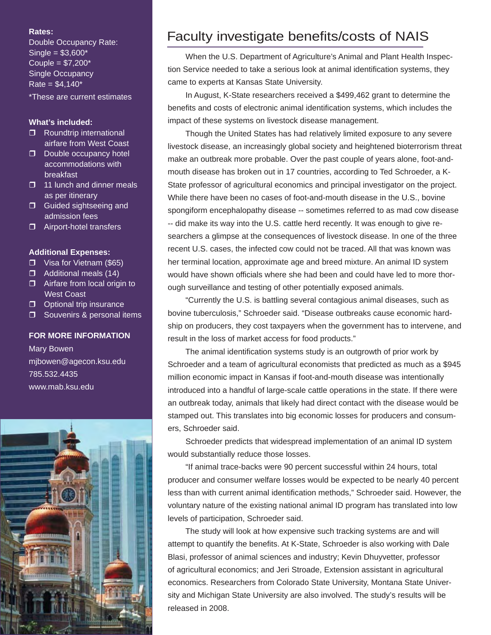#### **Rates:**

Double Occupancy Rate:  $Single = $3,600*$ Couple =  $\sqrt{57,200^*}$ Single Occupancy  $Rate = $4,140*$ 

\*These are current estimates

#### **What's included:**

- Roundtrip international airfare from West Coast
- D Double occupancy hotel accommodations with breakfast
- $\Box$  11 lunch and dinner meals as per itinerary
- **D** Guided sightseeing and admission fees
- □ Airport-hotel transfers

#### **Additional Expenses:**

- □ Visa for Vietnam (\$65)
- **D** Additional meals (14)
- **E** Airfare from local origin to West Coast
- $\Box$  Optional trip insurance
- Souvenirs & personal items

#### **FOR MORE INFORMATION**

Mary Bowen mjbowen@agecon.ksu.edu 785.532.4435 www.mab.ksu.edu



### Faculty investigate benefits/costs of NAIS

 When the U.S. Department of Agriculture's Animal and Plant Health Inspection Service needed to take a serious look at animal identification systems, they came to experts at Kansas State University.

 In August, K-State researchers received a \$499,462 grant to determine the benefits and costs of electronic animal identification systems, which includes the impact of these systems on livestock disease management.

 Though the United States has had relatively limited exposure to any severe livestock disease, an increasingly global society and heightened bioterrorism threat make an outbreak more probable. Over the past couple of years alone, foot-andmouth disease has broken out in 17 countries, according to Ted Schroeder, a K-State professor of agricultural economics and principal investigator on the project. While there have been no cases of foot-and-mouth disease in the U.S., bovine spongiform encephalopathy disease -- sometimes referred to as mad cow disease -- did make its way into the U.S. cattle herd recently. It was enough to give researchers a glimpse at the consequences of livestock disease. In one of the three recent U.S. cases, the infected cow could not be traced. All that was known was her terminal location, approximate age and breed mixture. An animal ID system would have shown officials where she had been and could have led to more thorough surveillance and testing of other potentially exposed animals.

 "Currently the U.S. is battling several contagious animal diseases, such as bovine tuberculosis," Schroeder said. "Disease outbreaks cause economic hardship on producers, they cost taxpayers when the government has to intervene, and result in the loss of market access for food products."

 The animal identification systems study is an outgrowth of prior work by Schroeder and a team of agricultural economists that predicted as much as a \$945 million economic impact in Kansas if foot-and-mouth disease was intentionally introduced into a handful of large-scale cattle operations in the state. If there were an outbreak today, animals that likely had direct contact with the disease would be stamped out. This translates into big economic losses for producers and consumers, Schroeder said.

 Schroeder predicts that widespread implementation of an animal ID system would substantially reduce those losses.

 "If animal trace-backs were 90 percent successful within 24 hours, total producer and consumer welfare losses would be expected to be nearly 40 percent less than with current animal identification methods," Schroeder said. However, the voluntary nature of the existing national animal ID program has translated into low levels of participation, Schroeder said.

 The study will look at how expensive such tracking systems are and will attempt to quantify the benefits. At K-State, Schroeder is also working with Dale Blasi, professor of animal sciences and industry; Kevin Dhuyvetter, professor of agricultural economics; and Jeri Stroade, Extension assistant in agricultural economics. Researchers from Colorado State University, Montana State University and Michigan State University are also involved. The study's results will be released in 2008.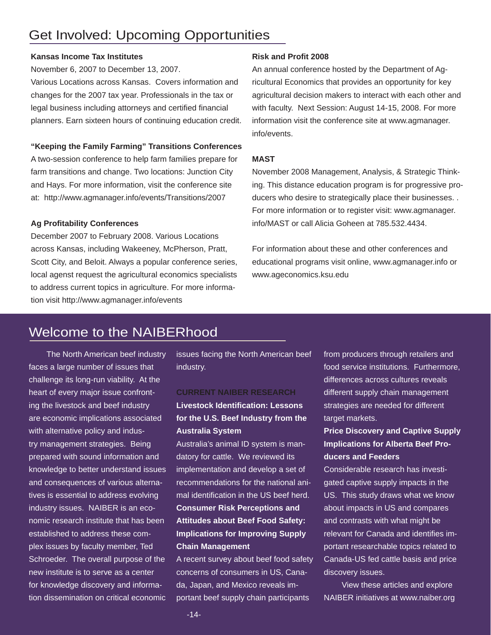### Get Involved: Upcoming Opportunities

#### **Kansas Income Tax Institutes**

November 6, 2007 to December 13, 2007.

Various Locations across Kansas. Covers information and changes for the 2007 tax year. Professionals in the tax or legal business including attorneys and certified financial planners. Earn sixteen hours of continuing education credit.

#### **"Keeping the Family Farming" Transitions Conferences**

A two-session conference to help farm families prepare for farm transitions and change. Two locations: Junction City and Hays. For more information, visit the conference site at: http://www.agmanager.info/events/Transitions/2007

#### **Ag Profitability Conferences**

December 2007 to February 2008. Various Locations across Kansas, including Wakeeney, McPherson, Pratt, Scott City, and Beloit. Always a popular conference series, local agenst request the agricultural economics specialists to address current topics in agriculture. For more information visit http://www.agmanager.info/events

#### **Risk and Profit 2008**

An annual conference hosted by the Department of Agricultural Economics that provides an opportunity for key agricultural decision makers to interact with each other and with faculty. Next Session: August 14-15, 2008. For more information visit the conference site at www.agmanager. info/events.

#### **MAST**

November 2008 Management, Analysis, & Strategic Thinking. This distance education program is for progressive producers who desire to strategically place their businesses. . For more information or to register visit: www.agmanager. info/MAST or call Alicia Goheen at 785.532.4434.

For information about these and other conferences and educational programs visit online, www.agmanager.info or www.ageconomics.ksu.edu

### Welcome to the NAIBERhood

 The North American beef industry faces a large number of issues that challenge its long-run viability. At the heart of every major issue confronting the livestock and beef industry are economic implications associated with alternative policy and industry management strategies. Being prepared with sound information and knowledge to better understand issues and consequences of various alternatives is essential to address evolving industry issues. NAIBER is an economic research institute that has been established to address these complex issues by faculty member, Ted Schroeder. The overall purpose of the new institute is to serve as a center for knowledge discovery and information dissemination on critical economic

issues facing the North American beef industry.

#### **CURRENT NAIBER RESEARCH**

**Livestock Identification: Lessons for the U.S. Beef Industry from the Australia System**

Australia's animal ID system is mandatory for cattle. We reviewed its implementation and develop a set of recommendations for the national animal identification in the US beef herd. **Consumer Risk Perceptions and Attitudes about Beef Food Safety: Implications for Improving Supply Chain Management**

A recent survey about beef food safety concerns of consumers in US, Canada, Japan, and Mexico reveals important beef supply chain participants

from producers through retailers and food service institutions. Furthermore, differences across cultures reveals different supply chain management strategies are needed for different target markets.

#### **Price Discovery and Captive Supply Implications for Alberta Beef Producers and Feeders**

Considerable research has investigated captive supply impacts in the US. This study draws what we know about impacts in US and compares and contrasts with what might be relevant for Canada and identifies important researchable topics related to Canada-US fed cattle basis and price discovery issues.

 View these articles and explore NAIBER initiatives at www.naiber.org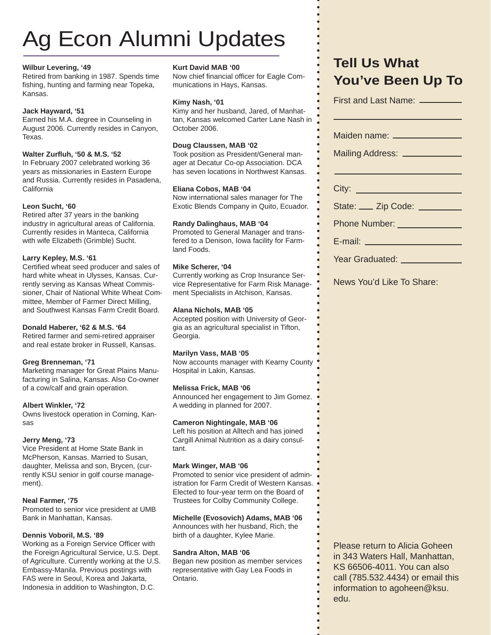# Ag Econ Alumni Updates

#### **Wilbur Levering, '49**

Retired from banking in 1987. Spends time fishing, hunting and farming near Topeka, Kansas.

#### **Jack Hayward, '51**

Earned his M.A. degree in Counseling in August 2006. Currently resides in Canyon, Texas.

#### **Walter Zurfl uh, '50 & M.S. '52**

In February 2007 celebrated working 36 years as missionaries in Eastern Europe and Russia. Currently resides in Pasadena, California

#### **Leon Sucht, '60**

Retired after 37 years in the banking industry in agricultural areas of California. Currently resides in Manteca, California with wife Elizabeth (Grimble) Sucht.

#### **Larry Kepley, M.S. '61**

Certified wheat seed producer and sales of hard white wheat in Ulysses, Kansas. Currently serving as Kansas Wheat Commissioner, Chair of National White Wheat Committee, Member of Farmer Direct Milling, and Southwest Kansas Farm Credit Board.

#### **Donald Haberer, '62 & M.S. '64**

Retired farmer and semi-retired appraiser and real estate broker in Russell, Kansas.

#### **Greg Brenneman, '71**

Marketing manager for Great Plains Manufacturing in Salina, Kansas. Also Co-owner of a cow/calf and grain operation.

#### **Albert Winkler, '72**

Owns livestock operation in Corning, Kansas

#### **Jerry Meng, '73**

Vice President at Home State Bank in McPherson, Kansas. Married to Susan, daughter, Melissa and son, Brycen, (currently KSU senior in golf course management).

#### **Neal Farmer, '75**

Promoted to senior vice president at UMB Bank in Manhattan, Kansas.

#### **Dennis Voboril, M.S. '89**

Working as a Foreign Service Officer with the Foreign Agricultural Service, U.S. Dept. of Agriculture. Currently working at the U.S. Embassy-Manila. Previous postings with FAS were in Seoul, Korea and Jakarta, Indonesia in addition to Washington, D.C.

#### **Kurt David MAB '00**

Now chief financial officer for Eagle Communications in Hays, Kansas.

#### **Kimy Nash, '01**

Kimy and her husband, Jared, of Manhattan, Kansas welcomed Carter Lane Nash in October 2006.

#### **Doug Claussen, MAB '02**

Took position as President/General manager at Decatur Co-op Association. DCA has seven locations in Northwest Kansas.

#### **Eliana Cobos, MAB '04**

Now international sales manager for The Exotic Blends Company in Quito, Ecuador.

#### **Randy Dalinghaus, MAB '04**

Promoted to General Manager and transfered to a Denison, Iowa facility for Farmland Foods.

#### **Mike Scherer, '04**

Currently working as Crop Insurance Service Representative for Farm Risk Management Specialists in Atchison, Kansas.

#### **Alana Nichols, MAB '05**

Accepted position with University of Georgia as an agricultural specialist in Tifton, Georgia.

#### **Marilyn Vass, MAB '05**

Now accounts manager with Kearny County Hospital in Lakin, Kansas.

#### **Melissa Frick, MAB '06**

Announced her engagement to Jim Gomez. A wedding in planned for 2007.

#### **Cameron Nightingale, MAB '06**

Left his position at Alltech and has joined Cargill Animal Nutrition as a dairy consultant.

#### **Mark Winger, MAB '06**

Promoted to senior vice president of administration for Farm Credit of Western Kansas. Elected to four-year term on the Board of Trustees for Colby Community College.

#### **Michelle (Evosovich) Adams, MAB '06**

Announces with her husband, Rich, the birth of a daughter, Kylee Marie.

#### **Sandra Alton, MAB '06**

Began new position as member services representative with Gay Lea Foods in Ontario.

### **Tell Us What You've Been Up To**

| First and Last Name: _________    |
|-----------------------------------|
| Maiden name: _________________    |
| Mailing Address: ________________ |
|                                   |
|                                   |
| State: ___ Zip Code: ________     |
| Phone Number: ________________    |
| E-mail: _____________________     |
| Year Graduated: ____________      |

News You'd Like To Share:

Please return to Alicia Goheen in 343 Waters Hall, Manhattan, KS 66506-4011. You can also call (785.532.4434) or email this information to agoheen@ksu. edu.